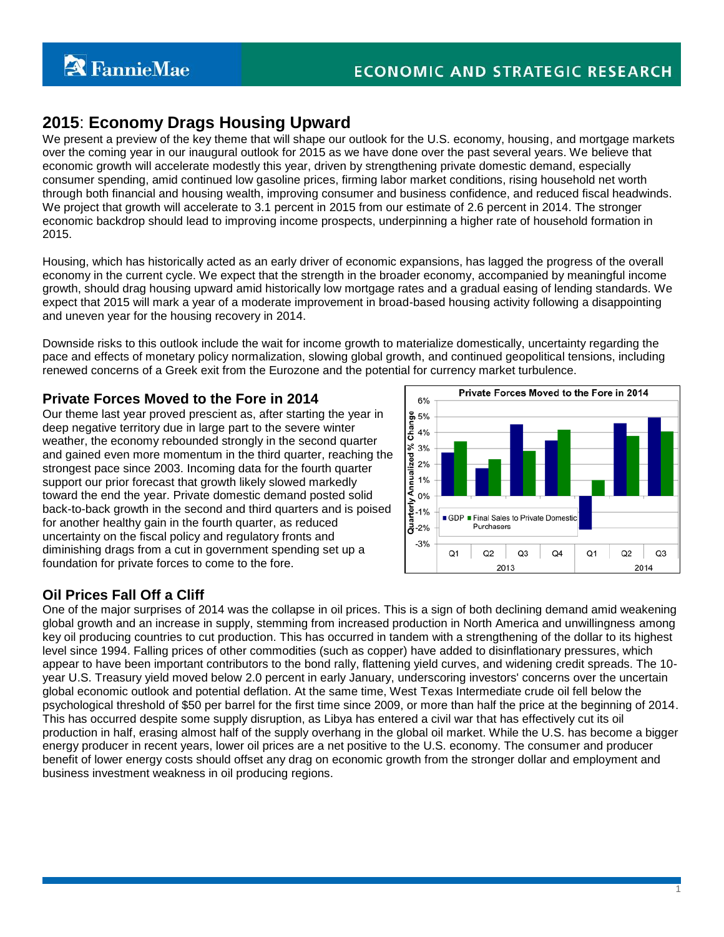# **2015**: **Economy Drags Housing Upward**

We present a preview of the key theme that will shape our outlook for the U.S. economy, housing, and mortgage markets over the coming year in our inaugural outlook for 2015 as we have done over the past several years. We believe that economic growth will accelerate modestly this year, driven by strengthening private domestic demand, especially consumer spending, amid continued low gasoline prices, firming labor market conditions, rising household net worth through both financial and housing wealth, improving consumer and business confidence, and reduced fiscal headwinds. We project that growth will accelerate to 3.1 percent in 2015 from our estimate of 2.6 percent in 2014. The stronger economic backdrop should lead to improving income prospects, underpinning a higher rate of household formation in 2015.

Housing, which has historically acted as an early driver of economic expansions, has lagged the progress of the overall economy in the current cycle. We expect that the strength in the broader economy, accompanied by meaningful income growth, should drag housing upward amid historically low mortgage rates and a gradual easing of lending standards. We expect that 2015 will mark a year of a moderate improvement in broad-based housing activity following a disappointing and uneven year for the housing recovery in 2014.

Downside risks to this outlook include the wait for income growth to materialize domestically, uncertainty regarding the pace and effects of monetary policy normalization, slowing global growth, and continued geopolitical tensions, including renewed concerns of a Greek exit from the Eurozone and the potential for currency market turbulence.

## **Private Forces Moved to the Fore in 2014**

Our theme last year proved prescient as, after starting the year in deep negative territory due in large part to the severe winter weather, the economy rebounded strongly in the second quarter and gained even more momentum in the third quarter, reaching the strongest pace since 2003. Incoming data for the fourth quarter support our prior forecast that growth likely slowed markedly toward the end the year. Private domestic demand posted solid back-to-back growth in the second and third quarters and is poised for another healthy gain in the fourth quarter, as reduced uncertainty on the fiscal policy and regulatory fronts and diminishing drags from a cut in government spending set up a foundation for private forces to come to the fore.



# **Oil Prices Fall Off a Cliff**

One of the major surprises of 2014 was the collapse in oil prices. This is a sign of both declining demand amid weakening global growth and an increase in supply, stemming from increased production in North America and unwillingness among key oil producing countries to cut production. This has occurred in tandem with a strengthening of the dollar to its highest level since 1994. Falling prices of other commodities (such as copper) have added to disinflationary pressures, which appear to have been important contributors to the bond rally, flattening yield curves, and widening credit spreads. The 10 year U.S. Treasury yield moved below 2.0 percent in early January, underscoring investors' concerns over the uncertain global economic outlook and potential deflation. At the same time, West Texas Intermediate crude oil fell below the psychological threshold of \$50 per barrel for the first time since 2009, or more than half the price at the beginning of 2014. This has occurred despite some supply disruption, as Libya has entered a civil war that has effectively cut its oil production in half, erasing almost half of the supply overhang in the global oil market. While the U.S. has become a bigger energy producer in recent years, lower oil prices are a net positive to the U.S. economy. The consumer and producer benefit of lower energy costs should offset any drag on economic growth from the stronger dollar and employment and business investment weakness in oil producing regions.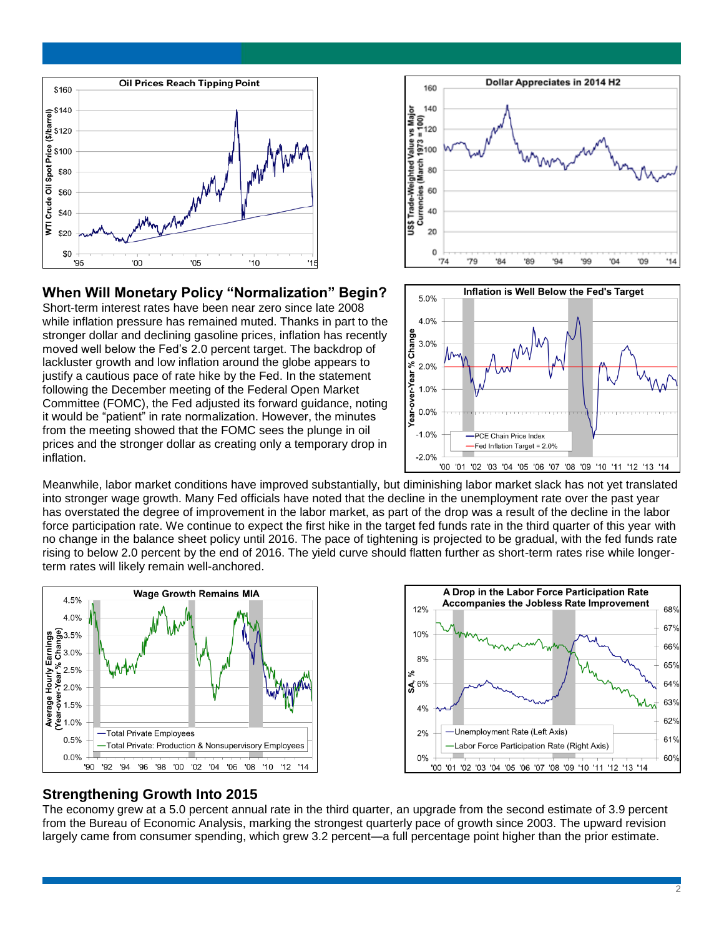

**When Will Monetary Policy "Normalization" Begin?** Short-term interest rates have been near zero since late 2008 while inflation pressure has remained muted. Thanks in part to the stronger dollar and declining gasoline prices, inflation has recently moved well below the Fed's 2.0 percent target. The backdrop of lackluster growth and low inflation around the globe appears to justify a cautious pace of rate hike by the Fed. In the statement following the December meeting of the Federal Open Market Committee (FOMC), the Fed adjusted its forward guidance, noting it would be "patient" in rate normalization. However, the minutes from the meeting showed that the FOMC sees the plunge in oil prices and the stronger dollar as creating only a temporary drop in



### Inflation is Well Below the Fed's Target  $5.0%$  $4.0%$ rear-over-Year % Change  $3.0%$  $2.0%$  $1.0%$  $0.0%$  $-1.0%$ -PCE Chain Price Index -Fed Inflation Target = 2.0%  $-2.0%$ '00 '01 '02 '03 '04 '05 '06 '07 '08 '09 '10 '11 '12 '13 '14

Meanwhile, labor market conditions have improved substantially, but diminishing labor market slack has not yet translated into stronger wage growth. Many Fed officials have noted that the decline in the unemployment rate over the past year has overstated the degree of improvement in the labor market, as part of the drop was a result of the decline in the labor force participation rate. We continue to expect the first hike in the target fed funds rate in the third quarter of this year with no change in the balance sheet policy until 2016. The pace of tightening is projected to be gradual, with the fed funds rate rising to below 2.0 percent by the end of 2016. The yield curve should flatten further as short-term rates rise while longerterm rates will likely remain well-anchored.





### **Strengthening Growth Into 2015**

inflation.

The economy grew at a 5.0 percent annual rate in the third quarter, an upgrade from the second estimate of 3.9 percent from the Bureau of Economic Analysis, marking the strongest quarterly pace of growth since 2003. The upward revision largely came from consumer spending, which grew 3.2 percent—a full percentage point higher than the prior estimate.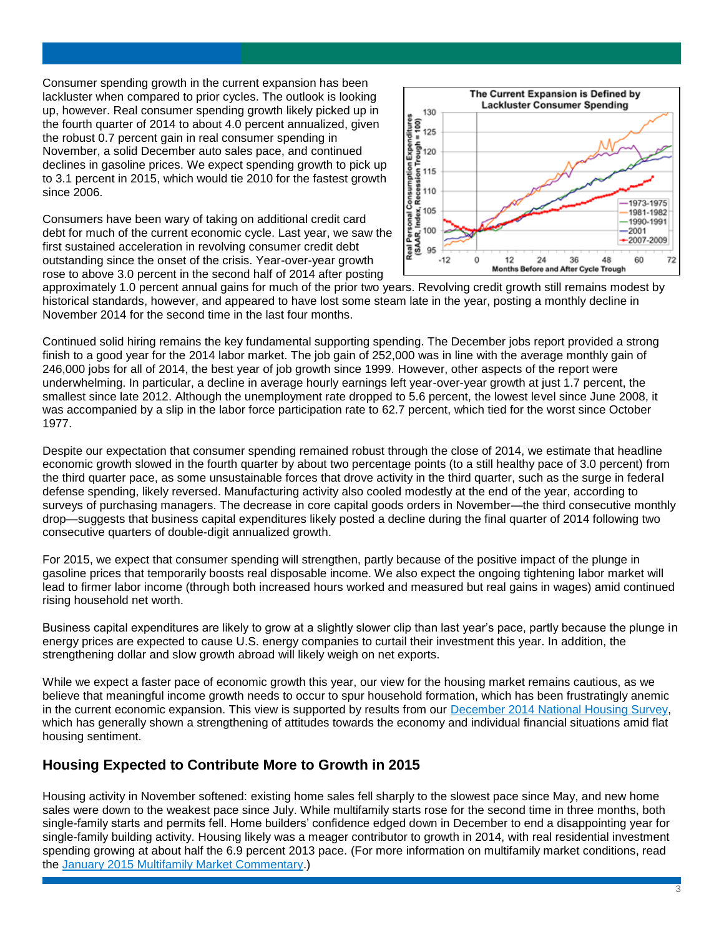Consumer spending growth in the current expansion has been lackluster when compared to prior cycles. The outlook is looking up, however. Real consumer spending growth likely picked up in the fourth quarter of 2014 to about 4.0 percent annualized, given the robust 0.7 percent gain in real consumer spending in November, a solid December auto sales pace, and continued declines in gasoline prices. We expect spending growth to pick up to 3.1 percent in 2015, which would tie 2010 for the fastest growth since 2006.

Consumers have been wary of taking on additional credit card debt for much of the current economic cycle. Last year, we saw the first sustained acceleration in revolving consumer credit debt outstanding since the onset of the crisis. Year-over-year growth rose to above 3.0 percent in the second half of 2014 after posting



approximately 1.0 percent annual gains for much of the prior two years. Revolving credit growth still remains modest by historical standards, however, and appeared to have lost some steam late in the year, posting a monthly decline in November 2014 for the second time in the last four months.

Continued solid hiring remains the key fundamental supporting spending. The December jobs report provided a strong finish to a good year for the 2014 labor market. The job gain of 252,000 was in line with the average monthly gain of 246,000 jobs for all of 2014, the best year of job growth since 1999. However, other aspects of the report were underwhelming. In particular, a decline in average hourly earnings left year-over-year growth at just 1.7 percent, the smallest since late 2012. Although the unemployment rate dropped to 5.6 percent, the lowest level since June 2008, it was accompanied by a slip in the labor force participation rate to 62.7 percent, which tied for the worst since October 1977.

Despite our expectation that consumer spending remained robust through the close of 2014, we estimate that headline economic growth slowed in the fourth quarter by about two percentage points (to a still healthy pace of 3.0 percent) from the third quarter pace, as some unsustainable forces that drove activity in the third quarter, such as the surge in federal defense spending, likely reversed. Manufacturing activity also cooled modestly at the end of the year, according to surveys of purchasing managers. The decrease in core capital goods orders in November—the third consecutive monthly drop—suggests that business capital expenditures likely posted a decline during the final quarter of 2014 following two consecutive quarters of double-digit annualized growth.

For 2015, we expect that consumer spending will strengthen, partly because of the positive impact of the plunge in gasoline prices that temporarily boosts real disposable income. We also expect the ongoing tightening labor market will lead to firmer labor income (through both increased hours worked and measured but real gains in wages) amid continued rising household net worth.

Business capital expenditures are likely to grow at a slightly slower clip than last year's pace, partly because the plunge in energy prices are expected to cause U.S. energy companies to curtail their investment this year. In addition, the strengthening dollar and slow growth abroad will likely weigh on net exports.

While we expect a faster pace of economic growth this year, our view for the housing market remains cautious, as we believe that meaningful income growth needs to occur to spur household formation, which has been frustratingly anemic in the current economic expansion. This view is supported by results from our December 2014 [National Housing Survey,](http://www.fanniemae.com/portal/research-and-analysis/housing-survey.html) which has generally shown a strengthening of attitudes towards the economy and individual financial situations amid flat housing sentiment.

### **Housing Expected to Contribute More to Growth in 2015**

Housing activity in November softened: existing home sales fell sharply to the slowest pace since May, and new home sales were down to the weakest pace since July. While multifamily starts rose for the second time in three months, both single-family starts and permits fell. Home builders' confidence edged down in December to end a disappointing year for single-family building activity. Housing likely was a meager contributor to growth in 2014, with real residential investment spending growing at about half the 6.9 percent 2013 pace. (For more information on multifamily market conditions, read the [January 2015 Multifamily Market Commentary.](http://www.fanniemae.com/resources/file/research/emma/pdf/MF_Market_Commentary_012215.pdf))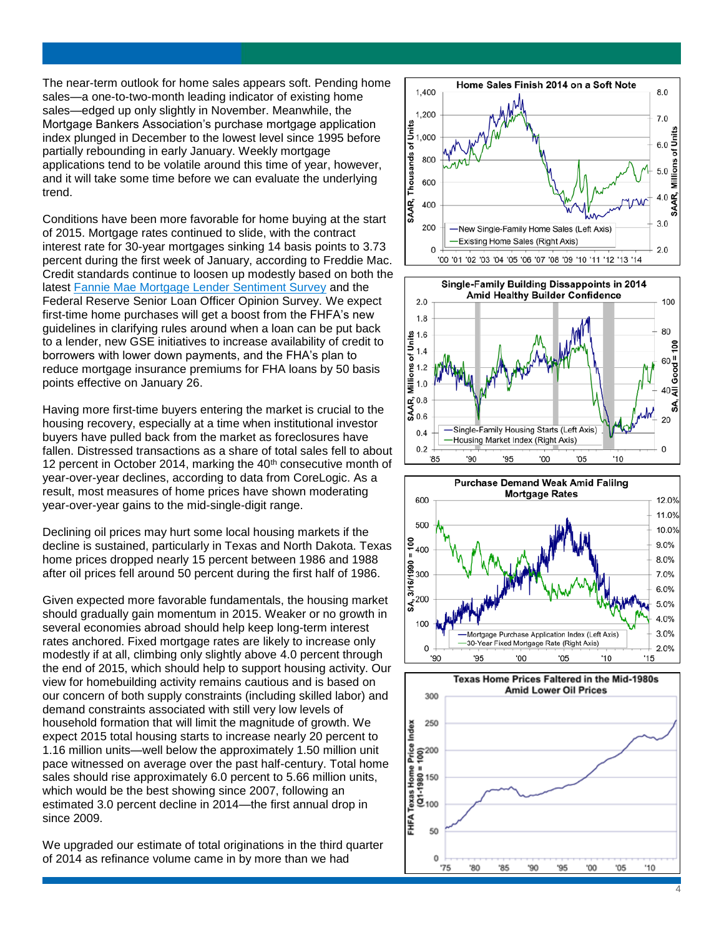The near -term outlook for home sales appears soft. Pending home sales —a one -to -two -month leading indicator of existing home sales —edged up only slightly in November. Meanwhile, the Mortgage Bankers Association's purchase mortgage application index plunged in December to the lowest level since 1995 before partially rebounding in early January. Weekly mortgage applications tend to be volatile around this time of year, however, and it will take some time before we can evaluate the underlying trend.

Conditions have been more favorable for home buying at the start of 2015. Mortgage rates continued to slide, with the contract interest rate for 30 -year mortgages sinking 14 basis points to 3.73 percent during the first week of January, according to Freddie Mac. Credit standards continue to loosen up modestly based on both the latest [Fannie Mae Mortgage Lender Sentiment Survey](http://www.fanniemae.com/portal/research-and-analysis/mortgage-lender-survey.html) and the Federal Reserve Senior Loan Officer Opinion Survey. We expect first-time home purchases will get a boost from the FHFA's new guidelines in clarifying rules around when a loan can be put back to a lender, new GSE initiatives to increase availability of credit to borrowers with lower down payments, and the FHA's plan to reduce mortgage insurance premiums for FHA loans by 50 basis points effective on January 26.

Having more first-time buyers entering the market is crucial to the housing recovery, especially at a time when institutional investor buyers have pulled back from the market as foreclosures have fallen. Distressed transactions as a share of total sales fell to about 12 percent in October 2014, marking the  $40<sup>th</sup>$  consecutive month of year -over -year declines, according to data from CoreLogic. As a result, most measures of home prices have shown moderating year-over-year gains to the mid-single-digit range.

Declining oil prices may hurt some local housing markets if the decline is sustained, particularly in Texas and North Dakota. Texas home prices dropped nearly 15 percent between 1986 and 1988 after oil prices fell around 50 percent during the first half of 1986.

Given expected more favorable fundamentals, the housing market should gradually gain momentum in 2015. Weaker or no growth in several economies abroad should help keep long-term interest rates anchored. Fixed mortgage rates are likely to increase only modestly if at all, climbing only slightly above 4.0 percent through the end of 2015, which should help to support housing activity. Our view for homebuilding activity remains cautious and is based on our concern of both supply constraints (including skilled labor) and demand constraints associated with still very low levels of household formation that will limit the magnitude of growth. We expect 2015 total housing starts to increase nearly 20 percent to 1.16 million units —well below the approximately 1.50 million unit pace witnessed on average over the past half -century. Total home sales should rise approximately 6.0 percent to 5.66 million units, which would be the best showing since 2007, following an estimated 3.0 percent decline in 2014 —the first annual drop in since 2009.

We upgraded our estimate of total originations in the third quarter of 2014 as refinance volume came in by more than we had